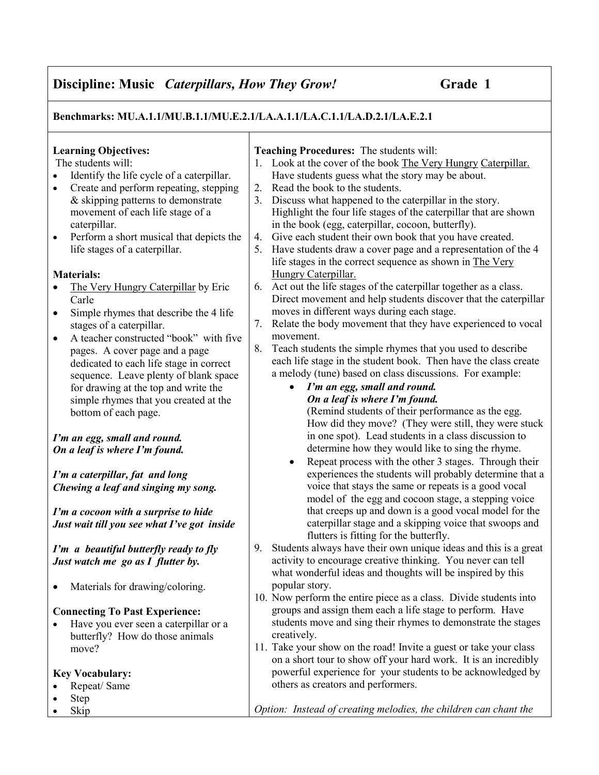# Discipline: Music *Caterpillars, How They Grow!* Grade 1

Benchmarks: MU.A.1.1/MU.B.1.1/MU.E.2.1/LA.A.1.1/LA.C.1.1/LA.D.2.1/LA.E.2.1

## Learning Objectives:

The students will:

- Identify the life cycle of a caterpillar.
- Create and perform repeating, stepping & skipping patterns to demonstrate movement of each life stage of a caterpillar.
- Perform a short musical that depicts the life stages of a caterpillar.

#### Materials:

- The Very Hungry Caterpillar by Eric Carle
- Simple rhymes that describe the 4 life stages of a caterpillar.
- A teacher constructed "book" with five pages. A cover page and a page dedicated to each life stage in correct sequence. Leave plenty of blank space for drawing at the top and write the simple rhymes that you created at the bottom of each page.

I'm an egg, small and round. On a leaf is where I'm found.

I'm a caterpillar, fat and long Chewing a leaf and singing my song.

I'm a cocoon with a surprise to hide Just wait till you see what I've got inside

I'm a beautiful butterfly ready to fly Just watch me go as  $I$  flutter by.

• Materials for drawing/coloring.

#### Connecting To Past Experience:

• Have you ever seen a caterpillar or a butterfly? How do those animals move?

#### Key Vocabulary:

- Repeat/Same
- Step
- Skip

#### Teaching Procedures: The students will:

- 1. Look at the cover of the book The Very Hungry Caterpillar. Have students guess what the story may be about.
- 2. Read the book to the students.
- 3. Discuss what happened to the caterpillar in the story. Highlight the four life stages of the caterpillar that are shown in the book (egg, caterpillar, cocoon, butterfly).
- 4. Give each student their own book that you have created.
- 5. Have students draw a cover page and a representation of the 4 life stages in the correct sequence as shown in The Very Hungry Caterpillar.
- 6. Act out the life stages of the caterpillar together as a class. Direct movement and help students discover that the caterpillar moves in different ways during each stage.
- 7. Relate the body movement that they have experienced to vocal movement.
- 8. Teach students the simple rhymes that you used to describe each life stage in the student book. Then have the class create a melody (tune) based on class discussions. For example:
	- I'm an egg, small and round. On a leaf is where I'm found.

(Remind students of their performance as the egg. How did they move? (They were still, they were stuck in one spot). Lead students in a class discussion to determine how they would like to sing the rhyme.

- Repeat process with the other 3 stages. Through their experiences the students will probably determine that a voice that stays the same or repeats is a good vocal model of the egg and cocoon stage, a stepping voice that creeps up and down is a good vocal model for the caterpillar stage and a skipping voice that swoops and flutters is fitting for the butterfly.
- 9. Students always have their own unique ideas and this is a great activity to encourage creative thinking. You never can tell what wonderful ideas and thoughts will be inspired by this popular story.
- 10. Now perform the entire piece as a class. Divide students into groups and assign them each a life stage to perform. Have students move and sing their rhymes to demonstrate the stages creatively.
- 11. Take your show on the road! Invite a guest or take your class on a short tour to show off your hard work. It is an incredibly powerful experience for your students to be acknowledged by others as creators and performers.

Option: Instead of creating melodies, the children can chant the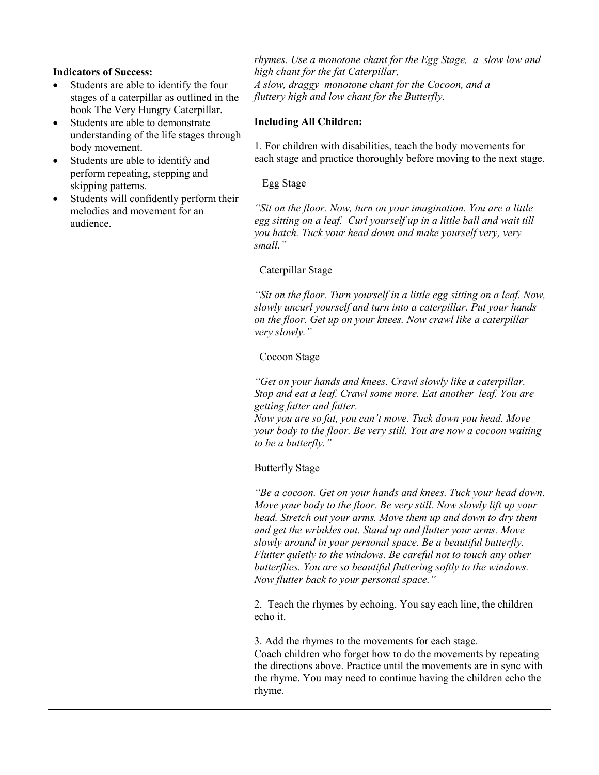#### Indicators of Success:

- Students are able to identify the four stages of a caterpillar as outlined in the book The Very Hungry Caterpillar.
- Students are able to demonstrate understanding of the life stages through body movement.
- Students are able to identify and perform repeating, stepping and skipping patterns.
- Students will confidently perform their melodies and movement for an audience.

rhymes. Use a monotone chant for the Egg Stage, a slow low and high chant for the fat Caterpillar, A slow, draggy monotone chant for the Cocoon, and a fluttery high and low chant for the Butterfly.

## Including All Children:

1. For children with disabilities, teach the body movements for each stage and practice thoroughly before moving to the next stage.

#### Egg Stage

"Sit on the floor. Now, turn on your imagination. You are a little egg sitting on a leaf. Curl yourself up in a little ball and wait till you hatch. Tuck your head down and make yourself very, very small."

#### Caterpillar Stage

"Sit on the floor. Turn yourself in a little egg sitting on a leaf. Now, slowly uncurl yourself and turn into a caterpillar. Put your hands on the floor. Get up on your knees. Now crawl like a caterpillar very slowly."

#### Cocoon Stage

"Get on your hands and knees. Crawl slowly like a caterpillar. Stop and eat a leaf. Crawl some more. Eat another leaf. You are getting fatter and fatter.

Now you are so fat, you can't move. Tuck down you head. Move your body to the floor. Be very still. You are now a cocoon waiting to be a butterfly."

#### Butterfly Stage

"Be a cocoon. Get on your hands and knees. Tuck your head down. Move your body to the floor. Be very still. Now slowly lift up your head. Stretch out your arms. Move them up and down to dry them and get the wrinkles out. Stand up and flutter your arms. Move slowly around in your personal space. Be a beautiful butterfly. Flutter quietly to the windows. Be careful not to touch any other butterflies. You are so beautiful fluttering softly to the windows. Now flutter back to your personal space."

2. Teach the rhymes by echoing. You say each line, the children echo it.

3. Add the rhymes to the movements for each stage. Coach children who forget how to do the movements by repeating the directions above. Practice until the movements are in sync with the rhyme. You may need to continue having the children echo the rhyme.